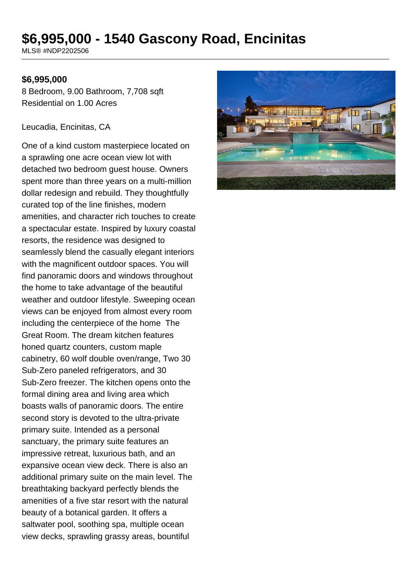# **\$6,995,000 - 1540 Gascony Road, Encinitas**

MLS® #NDP2202506

#### **\$6,995,000**

8 Bedroom, 9.00 Bathroom, 7,708 sqft Residential on 1.00 Acres

#### Leucadia, Encinitas, CA

One of a kind custom masterpiece located on a sprawling one acre ocean view lot with detached two bedroom guest house. Owners spent more than three years on a multi-million dollar redesign and rebuild. They thoughtfully curated top of the line finishes, modern amenities, and character rich touches to create a spectacular estate. Inspired by luxury coastal resorts, the residence was designed to seamlessly blend the casually elegant interiors with the magnificent outdoor spaces. You will find panoramic doors and windows throughout the home to take advantage of the beautiful weather and outdoor lifestyle. Sweeping ocean views can be enjoyed from almost every room including the centerpiece of the home The Great Room. The dream kitchen features honed quartz counters, custom maple cabinetry, 60 wolf double oven/range, Two 30 Sub-Zero paneled refrigerators, and 30 Sub-Zero freezer. The kitchen opens onto the formal dining area and living area which boasts walls of panoramic doors. The entire second story is devoted to the ultra-private primary suite. Intended as a personal sanctuary, the primary suite features an impressive retreat, luxurious bath, and an expansive ocean view deck. There is also an additional primary suite on the main level. The breathtaking backyard perfectly blends the amenities of a five star resort with the natural beauty of a botanical garden. It offers a saltwater pool, soothing spa, multiple ocean view decks, sprawling grassy areas, bountiful

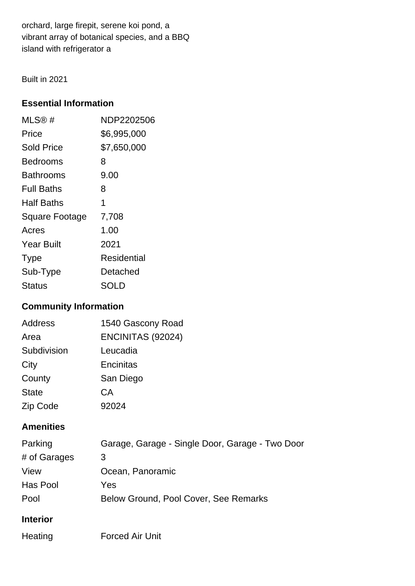orchard, large firepit, serene koi pond, a vibrant array of botanical species, and a BBQ island with refrigerator a

Built in 2021

## **Essential Information**

| MLS@#                 | NDP2202506  |
|-----------------------|-------------|
| Price                 | \$6,995,000 |
| <b>Sold Price</b>     | \$7,650,000 |
| Bedrooms              | 8           |
| Bathrooms             | 9.00        |
| <b>Full Baths</b>     | 8           |
| <b>Half Baths</b>     | 1           |
| <b>Square Footage</b> | 7,708       |
| Acres                 | 1.00        |
| <b>Year Built</b>     | 2021        |
| <b>Type</b>           | Residential |
| Sub-Type              | Detached    |
| Status                | SOLD        |

# **Community Information**

| <b>Address</b> | 1540 Gascony Road |
|----------------|-------------------|
| Area           | ENCINITAS (92024) |
| Subdivision    | Leucadia          |
| City           | Encinitas         |
| County         | San Diego         |
| <b>State</b>   | СA                |
| Zip Code       | 92024             |

## **Amenities**

| Parking         | Garage, Garage - Single Door, Garage - Two Door |
|-----------------|-------------------------------------------------|
| # of Garages    | 3                                               |
| View            | Ocean, Panoramic                                |
| Has Pool        | Yes                                             |
| Pool            | Below Ground, Pool Cover, See Remarks           |
| <b>Interior</b> |                                                 |

Heating Forced Air Unit